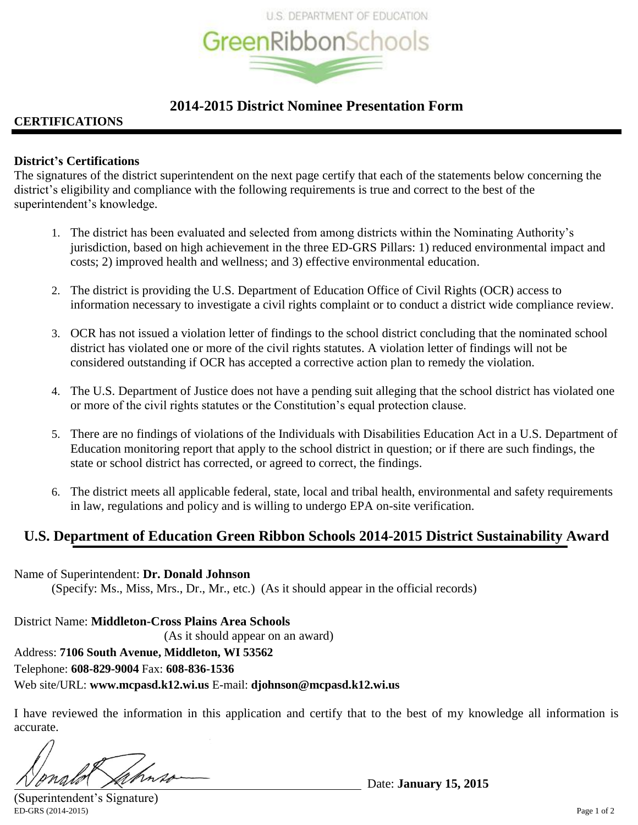

# **2014-2015 District Nominee Presentation Form**

# **CERTIFICATIONS**

# **District's Certifications**

The signatures of the district superintendent on the next page certify that each of the statements below concerning the district's eligibility and compliance with the following requirements is true and correct to the best of the superintendent's knowledge.

- 1. The district has been evaluated and selected from among districts within the Nominating Authority's jurisdiction, based on high achievement in the three ED-GRS Pillars: 1) reduced environmental impact and costs; 2) improved health and wellness; and 3) effective environmental education.
- 2. The district is providing the U.S. Department of Education Office of Civil Rights (OCR) access to information necessary to investigate a civil rights complaint or to conduct a district wide compliance review.
- 3. OCR has not issued a violation letter of findings to the school district concluding that the nominated school district has violated one or more of the civil rights statutes. A violation letter of findings will not be considered outstanding if OCR has accepted a corrective action plan to remedy the violation.
- 4. The U.S. Department of Justice does not have a pending suit alleging that the school district has violated one or more of the civil rights statutes or the Constitution's equal protection clause.
- 5. There are no findings of violations of the Individuals with Disabilities Education Act in a U.S. Department of Education monitoring report that apply to the school district in question; or if there are such findings, the state or school district has corrected, or agreed to correct, the findings.
- 6. The district meets all applicable federal, state, local and tribal health, environmental and safety requirements in law, regulations and policy and is willing to undergo EPA on-site verification.

# **U.S. Department of Education Green Ribbon Schools 2014-2015 District Sustainability Award**

## Name of Superintendent: **Dr. Donald Johnson**

(Specify: Ms., Miss, Mrs., Dr., Mr., etc.) (As it should appear in the official records)

District Name: **Middleton-Cross Plains Area Schools** (As it should appear on an award) Address: **7106 South Avenue, Middleton, WI 53562** Telephone: **608-829-9004** Fax: **608-836-1536** Web site/URL: **www.mcpasd.k12.wi.us** E-mail: **djohnson@mcpasd.k12.wi.us**

I have reviewed the information in this application and certify that to the best of my knowledge all information is accurate.

Date: **January 15, 2015**

ED-GRS (2014-2015) Page 1 of 2 (Superintendent's Signature)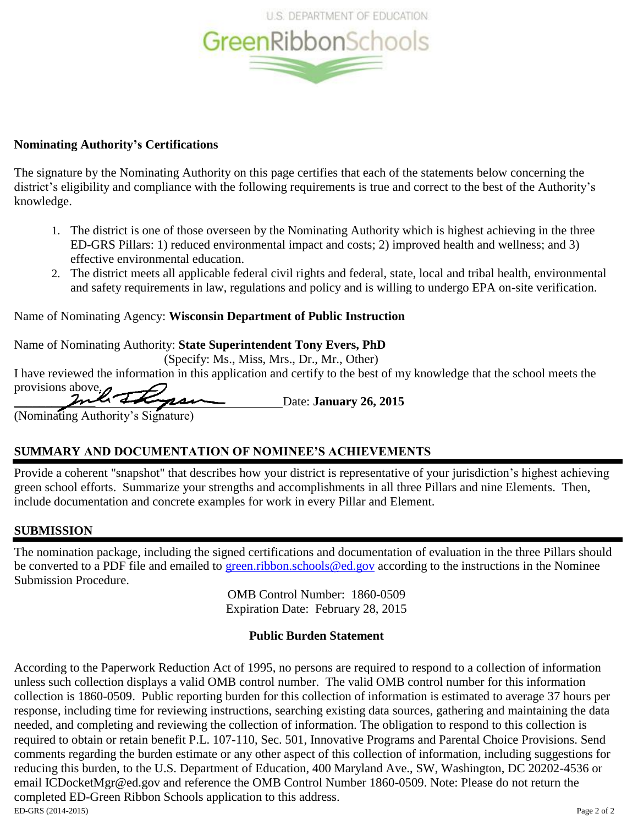

# **Nominating Authority's Certifications**

The signature by the Nominating Authority on this page certifies that each of the statements below concerning the district's eligibility and compliance with the following requirements is true and correct to the best of the Authority's knowledge.

- 1. The district is one of those overseen by the Nominating Authority which is highest achieving in the three ED-GRS Pillars: 1) reduced environmental impact and costs; 2) improved health and wellness; and 3) effective environmental education.
- 2. The district meets all applicable federal civil rights and federal, state, local and tribal health, environmental and safety requirements in law, regulations and policy and is willing to undergo EPA on-site verification.

# Name of Nominating Agency: **Wisconsin Department of Public Instruction**

Name of Nominating Authority: **State Superintendent Tony Evers, PhD**

(Specify: Ms., Miss, Mrs., Dr., Mr., Other)

I have reviewed the information in this application and certify to the best of my knowledge that the school meets the provisions above.

\_\_\_\_\_\_\_\_\_\_\_\_\_ Date: **January 26, 2015**

(Nominating Authority's Signature)

# **SUMMARY AND DOCUMENTATION OF NOMINEE'S ACHIEVEMENTS**

Provide a coherent "snapshot" that describes how your district is representative of your jurisdiction's highest achieving green school efforts. Summarize your strengths and accomplishments in all three Pillars and nine Elements. Then, include documentation and concrete examples for work in every Pillar and Element.

# **SUBMISSION**

The nomination package, including the signed certifications and documentation of evaluation in the three Pillars should be converted to a PDF file and emailed to [green.ribbon.schools@ed.gov](mailto:green.ribbon.schools@ed.gov) according to the instructions in the Nominee Submission Procedure.

> OMB Control Number: 1860-0509 Expiration Date: February 28, 2015

# **Public Burden Statement**

ED-GRS (2014-2015) Page 2 of 2 According to the Paperwork Reduction Act of 1995, no persons are required to respond to a collection of information unless such collection displays a valid OMB control number. The valid OMB control number for this information collection is 1860-0509. Public reporting burden for this collection of information is estimated to average 37 hours per response, including time for reviewing instructions, searching existing data sources, gathering and maintaining the data needed, and completing and reviewing the collection of information. The obligation to respond to this collection is required to obtain or retain benefit P.L. 107-110, Sec. 501, Innovative Programs and Parental Choice Provisions. Send comments regarding the burden estimate or any other aspect of this collection of information, including suggestions for reducing this burden, to the U.S. Department of Education, 400 Maryland Ave., SW, Washington, DC 20202-4536 or email ICDocketMgr@ed.gov and reference the OMB Control Number 1860-0509. Note: Please do not return the completed ED-Green Ribbon Schools application to this address.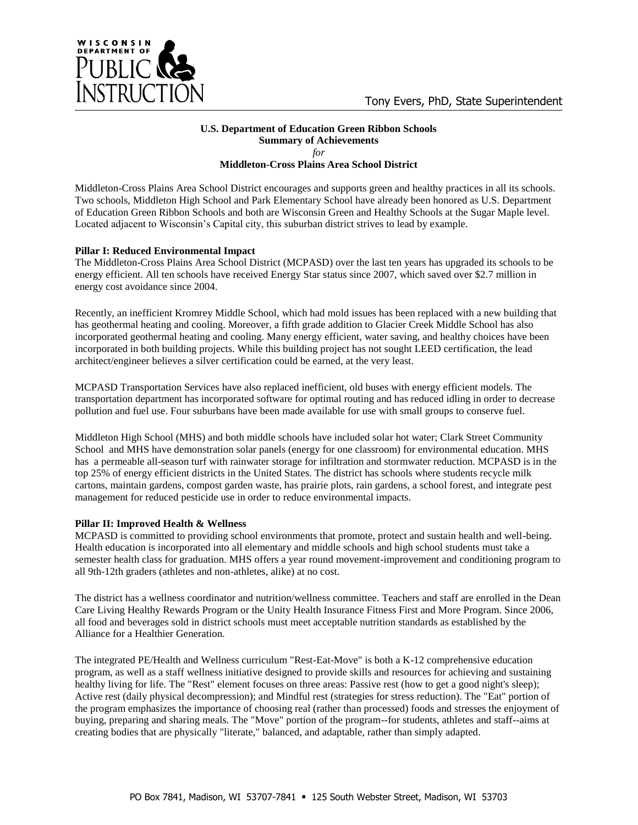

### **U.S. Department of Education Green Ribbon Schools Summary of Achievements** *for*

**Middleton-Cross Plains Area School District**

Middleton-Cross Plains Area School District encourages and supports green and healthy practices in all its schools. Two schools, Middleton High School and Park Elementary School have already been honored as U.S. Department of Education Green Ribbon Schools and both are Wisconsin Green and Healthy Schools at the Sugar Maple level. Located adjacent to Wisconsin"s Capital city, this suburban district strives to lead by example.

## **Pillar I: Reduced Environmental Impact**

The Middleton-Cross Plains Area School District (MCPASD) over the last ten years has upgraded its schools to be energy efficient. All ten schools have received Energy Star status since 2007, which saved over \$2.7 million in energy cost avoidance since 2004.

Recently, an inefficient Kromrey Middle School, which had mold issues has been replaced with a new building that has geothermal heating and cooling. Moreover, a fifth grade addition to Glacier Creek Middle School has also incorporated geothermal heating and cooling. Many energy efficient, water saving, and healthy choices have been incorporated in both building projects. While this building project has not sought LEED certification, the lead architect/engineer believes a silver certification could be earned, at the very least.

MCPASD Transportation Services have also replaced inefficient, old buses with energy efficient models. The transportation department has incorporated software for optimal routing and has reduced idling in order to decrease pollution and fuel use. Four suburbans have been made available for use with small groups to conserve fuel.

Middleton High School (MHS) and both middle schools have included solar hot water; Clark Street Community School and MHS have demonstration solar panels (energy for one classroom) for environmental education. MHS has a permeable all-season turf with rainwater storage for infiltration and stormwater reduction. MCPASD is in the top 25% of energy efficient districts in the United States. The district has schools where students recycle milk cartons, maintain gardens, compost garden waste, has prairie plots, rain gardens, a school forest, and integrate pest management for reduced pesticide use in order to reduce environmental impacts.

## **Pillar II: Improved Health & Wellness**

MCPASD is committed to providing school environments that promote, protect and sustain health and well-being. Health education is incorporated into all elementary and middle schools and high school students must take a semester health class for graduation. MHS offers a year round movement-improvement and conditioning program to all 9th-12th graders (athletes and non-athletes, alike) at no cost.

The district has a wellness coordinator and nutrition/wellness committee. Teachers and staff are enrolled in the Dean Care Living Healthy Rewards Program or the Unity Health Insurance Fitness First and More Program. Since 2006, all food and beverages sold in district schools must meet acceptable nutrition standards as established by the Alliance for a Healthier Generation.

The integrated PE/Health and Wellness curriculum "Rest-Eat-Move" is both a K-12 comprehensive education program, as well as a staff wellness initiative designed to provide skills and resources for achieving and sustaining healthy living for life. The "Rest" element focuses on three areas: Passive rest (how to get a good night's sleep); Active rest (daily physical decompression); and Mindful rest (strategies for stress reduction). The "Eat" portion of the program emphasizes the importance of choosing real (rather than processed) foods and stresses the enjoyment of buying, preparing and sharing meals. The "Move" portion of the program--for students, athletes and staff--aims at creating bodies that are physically "literate," balanced, and adaptable, rather than simply adapted.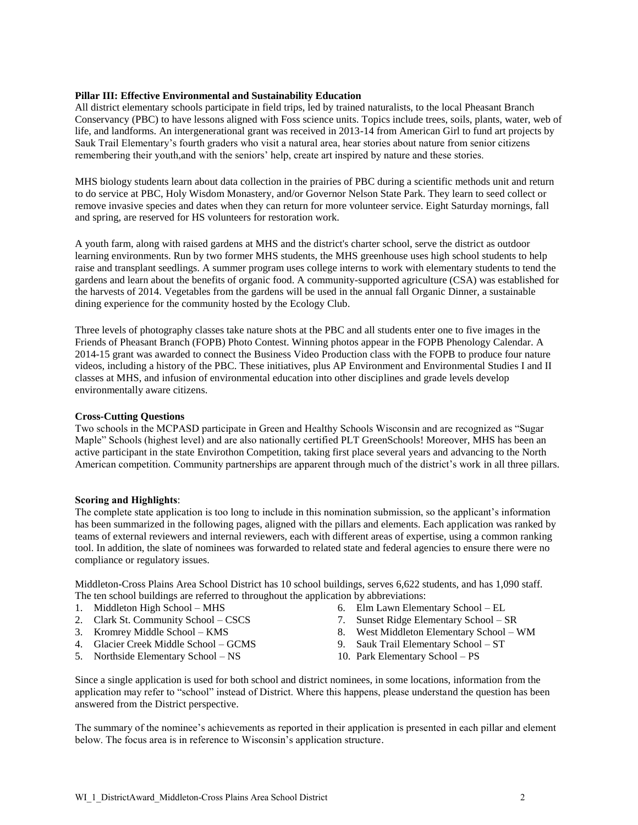### **Pillar III: Effective Environmental and Sustainability Education**

All district elementary schools participate in field trips, led by trained naturalists, to the local Pheasant Branch Conservancy (PBC) to have lessons aligned with Foss science units. Topics include trees, soils, plants, water, web of life, and landforms. An intergenerational grant was received in 2013-14 from American Girl to fund art projects by Sauk Trail Elementary"s fourth graders who visit a natural area, hear stories about nature from senior citizens remembering their youth,and with the seniors' help, create art inspired by nature and these stories.

MHS biology students learn about data collection in the prairies of PBC during a scientific methods unit and return to do service at PBC, Holy Wisdom Monastery, and/or Governor Nelson State Park. They learn to seed collect or remove invasive species and dates when they can return for more volunteer service. Eight Saturday mornings, fall and spring, are reserved for HS volunteers for restoration work.

A youth farm, along with raised gardens at MHS and the district's charter school, serve the district as outdoor learning environments. Run by two former MHS students, the MHS greenhouse uses high school students to help raise and transplant seedlings. A summer program uses college interns to work with elementary students to tend the gardens and learn about the benefits of organic food. A community-supported agriculture (CSA) was established for the harvests of 2014. Vegetables from the gardens will be used in the annual fall Organic Dinner, a sustainable dining experience for the community hosted by the Ecology Club.

Three levels of photography classes take nature shots at the PBC and all students enter one to five images in the Friends of Pheasant Branch (FOPB) Photo Contest. Winning photos appear in the FOPB Phenology Calendar. A 2014-15 grant was awarded to connect the Business Video Production class with the FOPB to produce four nature videos, including a history of the PBC. These initiatives, plus AP Environment and Environmental Studies I and II classes at MHS, and infusion of environmental education into other disciplines and grade levels develop environmentally aware citizens.

### **Cross-Cutting Questions**

Two schools in the MCPASD participate in Green and Healthy Schools Wisconsin and are recognized as "Sugar Maple" Schools (highest level) and are also nationally certified PLT GreenSchools! Moreover, MHS has been an active participant in the state Envirothon Competition, taking first place several years and advancing to the North American competition. Community partnerships are apparent through much of the district's work in all three pillars.

### **Scoring and Highlights**:

The complete state application is too long to include in this nomination submission, so the applicant's information has been summarized in the following pages, aligned with the pillars and elements. Each application was ranked by teams of external reviewers and internal reviewers, each with different areas of expertise, using a common ranking tool. In addition, the slate of nominees was forwarded to related state and federal agencies to ensure there were no compliance or regulatory issues.

Middleton-Cross Plains Area School District has 10 school buildings, serves 6,622 students, and has 1,090 staff. The ten school buildings are referred to throughout the application by abbreviations:

- 1. Middleton High School MHS
- 2. Clark St. Community School CSCS
- 3. Kromrey Middle School KMS
- 4. Glacier Creek Middle School GCMS
- 5. Northside Elementary School NS
- 6. Elm Lawn Elementary School EL
- 7. Sunset Ridge Elementary School SR
- 8. West Middleton Elementary School WM
- 9. Sauk Trail Elementary School ST
- 10. Park Elementary School PS

Since a single application is used for both school and district nominees, in some locations, information from the application may refer to "school" instead of District. Where this happens, please understand the question has been answered from the District perspective.

The summary of the nominee's achievements as reported in their application is presented in each pillar and element below. The focus area is in reference to Wisconsin's application structure.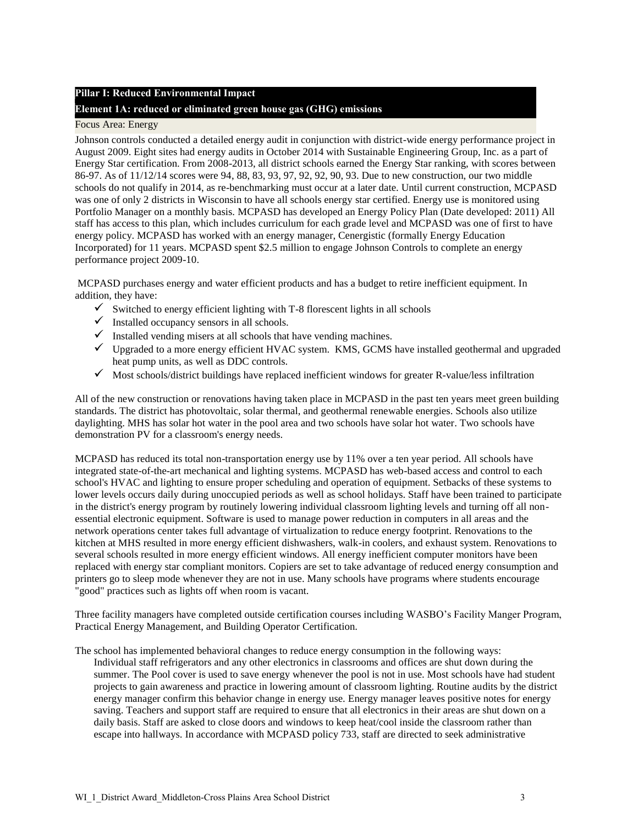## **Pillar I: Reduced Environmental Impact**

## **Element 1A: reduced or eliminated green house gas (GHG) emissions**

### Focus Area: Energy

Johnson controls conducted a detailed energy audit in conjunction with district-wide energy performance project in August 2009. Eight sites had energy audits in October 2014 with Sustainable Engineering Group, Inc. as a part of Energy Star certification. From 2008-2013, all district schools earned the Energy Star ranking, with scores between 86-97. As of 11/12/14 scores were 94, 88, 83, 93, 97, 92, 92, 90, 93. Due to new construction, our two middle schools do not qualify in 2014, as re-benchmarking must occur at a later date. Until current construction, MCPASD was one of only 2 districts in Wisconsin to have all schools energy star certified. Energy use is monitored using Portfolio Manager on a monthly basis. MCPASD has developed an Energy Policy Plan (Date developed: 2011) All staff has access to this plan, which includes curriculum for each grade level and MCPASD was one of first to have energy policy. MCPASD has worked with an energy manager, Cenergistic (formally Energy Education Incorporated) for 11 years. MCPASD spent \$2.5 million to engage Johnson Controls to complete an energy performance project 2009-10.

MCPASD purchases energy and water efficient products and has a budget to retire inefficient equipment. In addition, they have:

- $\checkmark$  Switched to energy efficient lighting with T-8 florescent lights in all schools
- $\checkmark$  Installed occupancy sensors in all schools.
- $\checkmark$  Installed vending misers at all schools that have vending machines.
- $\checkmark$  Upgraded to a more energy efficient HVAC system. KMS, GCMS have installed geothermal and upgraded heat pump units, as well as DDC controls.
- $\checkmark$  Most schools/district buildings have replaced inefficient windows for greater R-value/less infiltration

All of the new construction or renovations having taken place in MCPASD in the past ten years meet green building standards. The district has photovoltaic, solar thermal, and geothermal renewable energies. Schools also utilize daylighting. MHS has solar hot water in the pool area and two schools have solar hot water. Two schools have demonstration PV for a classroom's energy needs.

MCPASD has reduced its total non-transportation energy use by 11% over a ten year period. All schools have integrated state-of-the-art mechanical and lighting systems. MCPASD has web-based access and control to each school's HVAC and lighting to ensure proper scheduling and operation of equipment. Setbacks of these systems to lower levels occurs daily during unoccupied periods as well as school holidays. Staff have been trained to participate in the district's energy program by routinely lowering individual classroom lighting levels and turning off all nonessential electronic equipment. Software is used to manage power reduction in computers in all areas and the network operations center takes full advantage of virtualization to reduce energy footprint. Renovations to the kitchen at MHS resulted in more energy efficient dishwashers, walk-in coolers, and exhaust system. Renovations to several schools resulted in more energy efficient windows. All energy inefficient computer monitors have been replaced with energy star compliant monitors. Copiers are set to take advantage of reduced energy consumption and printers go to sleep mode whenever they are not in use. Many schools have programs where students encourage "good" practices such as lights off when room is vacant.

Three facility managers have completed outside certification courses including WASBO"s Facility Manger Program, Practical Energy Management, and Building Operator Certification.

The school has implemented behavioral changes to reduce energy consumption in the following ways: Individual staff refrigerators and any other electronics in classrooms and offices are shut down during the summer. The Pool cover is used to save energy whenever the pool is not in use. Most schools have had student projects to gain awareness and practice in lowering amount of classroom lighting. Routine audits by the district energy manager confirm this behavior change in energy use. Energy manager leaves positive notes for energy saving. Teachers and support staff are required to ensure that all electronics in their areas are shut down on a daily basis. Staff are asked to close doors and windows to keep heat/cool inside the classroom rather than escape into hallways. In accordance with MCPASD policy 733, staff are directed to seek administrative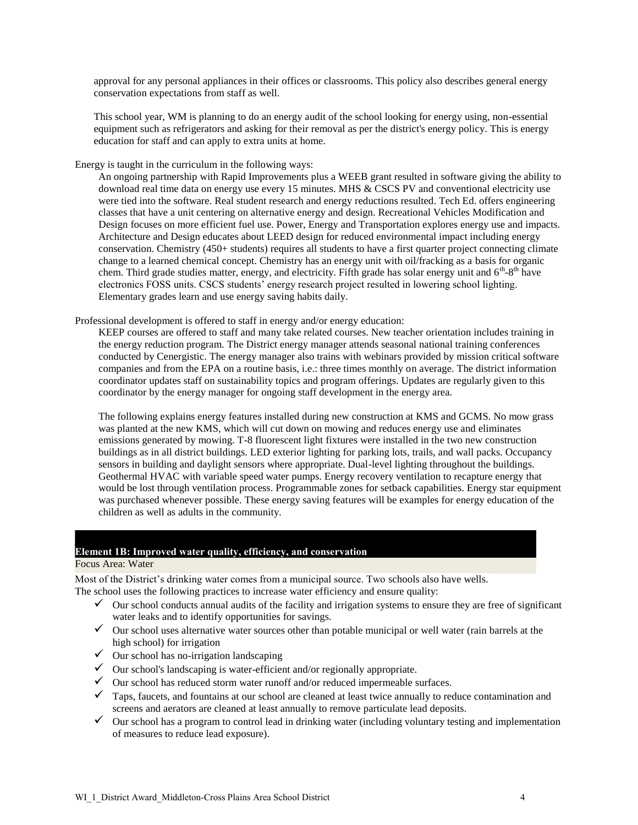approval for any personal appliances in their offices or classrooms. This policy also describes general energy conservation expectations from staff as well.

This school year, WM is planning to do an energy audit of the school looking for energy using, non-essential equipment such as refrigerators and asking for their removal as per the district's energy policy. This is energy education for staff and can apply to extra units at home.

Energy is taught in the curriculum in the following ways:

An ongoing partnership with Rapid Improvements plus a WEEB grant resulted in software giving the ability to download real time data on energy use every 15 minutes. MHS & CSCS PV and conventional electricity use were tied into the software. Real student research and energy reductions resulted. Tech Ed. offers engineering classes that have a unit centering on alternative energy and design. Recreational Vehicles Modification and Design focuses on more efficient fuel use. Power, Energy and Transportation explores energy use and impacts. Architecture and Design educates about LEED design for reduced environmental impact including energy conservation. Chemistry (450+ students) requires all students to have a first quarter project connecting climate change to a learned chemical concept. Chemistry has an energy unit with oil/fracking as a basis for organic chem. Third grade studies matter, energy, and electricity. Fifth grade has solar energy unit and  $6<sup>th</sup>-8<sup>th</sup>$  have electronics FOSS units. CSCS students" energy research project resulted in lowering school lighting. Elementary grades learn and use energy saving habits daily.

Professional development is offered to staff in energy and/or energy education:

KEEP courses are offered to staff and many take related courses. New teacher orientation includes training in the energy reduction program. The District energy manager attends seasonal national training conferences conducted by Cenergistic. The energy manager also trains with webinars provided by mission critical software companies and from the EPA on a routine basis, i.e.: three times monthly on average. The district information coordinator updates staff on sustainability topics and program offerings. Updates are regularly given to this coordinator by the energy manager for ongoing staff development in the energy area.

The following explains energy features installed during new construction at KMS and GCMS. No mow grass was planted at the new KMS, which will cut down on mowing and reduces energy use and eliminates emissions generated by mowing. T-8 fluorescent light fixtures were installed in the two new construction buildings as in all district buildings. LED exterior lighting for parking lots, trails, and wall packs. Occupancy sensors in building and daylight sensors where appropriate. Dual-level lighting throughout the buildings. Geothermal HVAC with variable speed water pumps. Energy recovery ventilation to recapture energy that would be lost through ventilation process. Programmable zones for setback capabilities. Energy star equipment was purchased whenever possible. These energy saving features will be examples for energy education of the children as well as adults in the community.

# **Element 1B: Improved water quality, efficiency, and conservation**

Focus Area: Water

Most of the District's drinking water comes from a municipal source. Two schools also have wells. The school uses the following practices to increase water efficiency and ensure quality:

- $\checkmark$  Our school conducts annual audits of the facility and irrigation systems to ensure they are free of significant water leaks and to identify opportunities for savings.
- $\checkmark$  Our school uses alternative water sources other than potable municipal or well water (rain barrels at the high school) for irrigation
- $\checkmark$  Our school has no-irrigation landscaping
- $\checkmark$  Our school's landscaping is water-efficient and/or regionally appropriate.
- $\checkmark$  Our school has reduced storm water runoff and/or reduced impermeable surfaces.
- $\checkmark$  Taps, faucets, and fountains at our school are cleaned at least twice annually to reduce contamination and screens and aerators are cleaned at least annually to remove particulate lead deposits.
- $\checkmark$  Our school has a program to control lead in drinking water (including voluntary testing and implementation of measures to reduce lead exposure).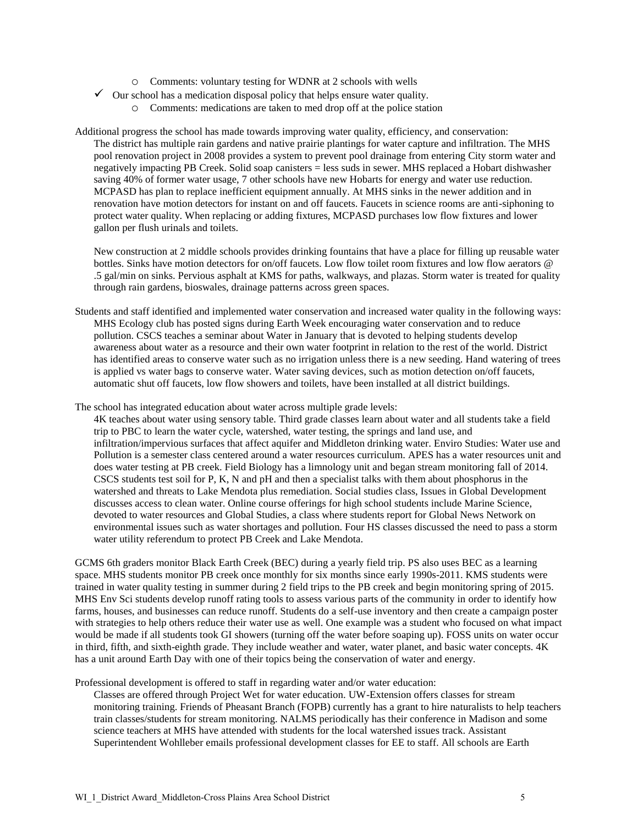- o Comments: voluntary testing for WDNR at 2 schools with wells
- $\checkmark$  Our school has a medication disposal policy that helps ensure water quality.
	- o Comments: medications are taken to med drop off at the police station

Additional progress the school has made towards improving water quality, efficiency, and conservation: The district has multiple rain gardens and native prairie plantings for water capture and infiltration. The MHS pool renovation project in 2008 provides a system to prevent pool drainage from entering City storm water and negatively impacting PB Creek. Solid soap canisters = less suds in sewer. MHS replaced a Hobart dishwasher saving 40% of former water usage, 7 other schools have new Hobarts for energy and water use reduction. MCPASD has plan to replace inefficient equipment annually. At MHS sinks in the newer addition and in renovation have motion detectors for instant on and off faucets. Faucets in science rooms are anti-siphoning to protect water quality. When replacing or adding fixtures, MCPASD purchases low flow fixtures and lower gallon per flush urinals and toilets.

New construction at 2 middle schools provides drinking fountains that have a place for filling up reusable water bottles. Sinks have motion detectors for on/off faucets. Low flow toilet room fixtures and low flow aerators @ .5 gal/min on sinks. Pervious asphalt at KMS for paths, walkways, and plazas. Storm water is treated for quality through rain gardens, bioswales, drainage patterns across green spaces.

Students and staff identified and implemented water conservation and increased water quality in the following ways: MHS Ecology club has posted signs during Earth Week encouraging water conservation and to reduce pollution. CSCS teaches a seminar about Water in January that is devoted to helping students develop awareness about water as a resource and their own water footprint in relation to the rest of the world. District has identified areas to conserve water such as no irrigation unless there is a new seeding. Hand watering of trees is applied vs water bags to conserve water. Water saving devices, such as motion detection on/off faucets, automatic shut off faucets, low flow showers and toilets, have been installed at all district buildings.

The school has integrated education about water across multiple grade levels:

4K teaches about water using sensory table. Third grade classes learn about water and all students take a field trip to PBC to learn the water cycle, watershed, water testing, the springs and land use, and infiltration/impervious surfaces that affect aquifer and Middleton drinking water. Enviro Studies: Water use and Pollution is a semester class centered around a water resources curriculum. APES has a water resources unit and does water testing at PB creek. Field Biology has a limnology unit and began stream monitoring fall of 2014. CSCS students test soil for P, K, N and pH and then a specialist talks with them about phosphorus in the watershed and threats to Lake Mendota plus remediation. Social studies class, Issues in Global Development discusses access to clean water. Online course offerings for high school students include Marine Science, devoted to water resources and Global Studies, a class where students report for Global News Network on environmental issues such as water shortages and pollution. Four HS classes discussed the need to pass a storm water utility referendum to protect PB Creek and Lake Mendota.

GCMS 6th graders monitor Black Earth Creek (BEC) during a yearly field trip. PS also uses BEC as a learning space. MHS students monitor PB creek once monthly for six months since early 1990s-2011. KMS students were trained in water quality testing in summer during 2 field trips to the PB creek and begin monitoring spring of 2015. MHS Env Sci students develop runoff rating tools to assess various parts of the community in order to identify how farms, houses, and businesses can reduce runoff. Students do a self-use inventory and then create a campaign poster with strategies to help others reduce their water use as well. One example was a student who focused on what impact would be made if all students took GI showers (turning off the water before soaping up). FOSS units on water occur in third, fifth, and sixth-eighth grade. They include weather and water, water planet, and basic water concepts. 4K has a unit around Earth Day with one of their topics being the conservation of water and energy.

Professional development is offered to staff in regarding water and/or water education:

Classes are offered through Project Wet for water education. UW-Extension offers classes for stream monitoring training. Friends of Pheasant Branch (FOPB) currently has a grant to hire naturalists to help teachers train classes/students for stream monitoring. NALMS periodically has their conference in Madison and some science teachers at MHS have attended with students for the local watershed issues track. Assistant Superintendent Wohlleber emails professional development classes for EE to staff. All schools are Earth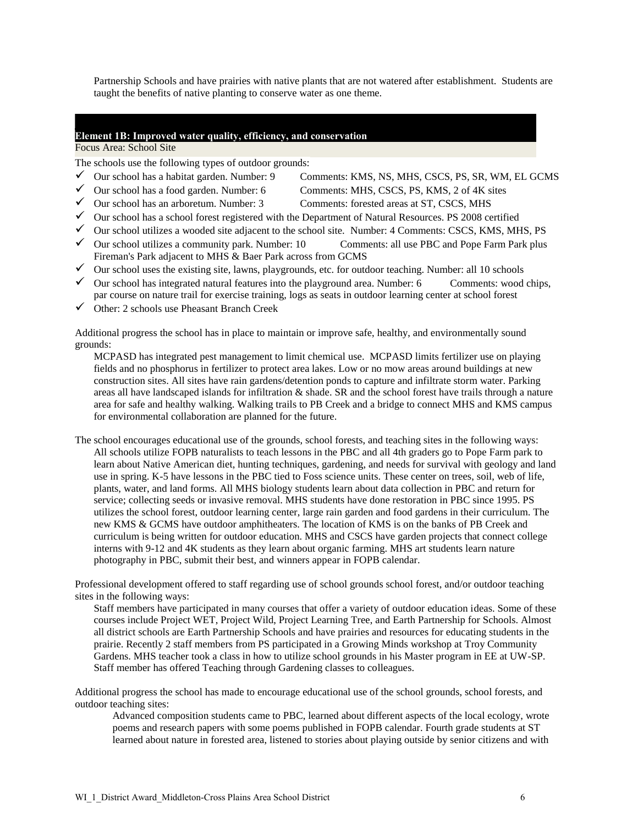Partnership Schools and have prairies with native plants that are not watered after establishment. Students are taught the benefits of native planting to conserve water as one theme.

## **Element 1B: Improved water quality, efficiency, and conservation**

### Focus Area: School Site

The schools use the following types of outdoor grounds:

- $\checkmark$  Our school has a habitat garden. Number: 9 Comments: KMS, NS, MHS, CSCS, PS, SR, WM, EL GCMS
- 
- $\checkmark$  Our school has a food garden. Number: 6 Comments: MHS, CSCS, PS, KMS, 2 of 4K sites
- $\checkmark$  Our school has an arboretum. Number: 3 Comments: forested areas at ST, CSCS, MHS
	-
- $\checkmark$  Our school has a school forest registered with the Department of Natural Resources. PS 2008 certified  $\checkmark$  Our school utilizes a wooded site adjacent to the school site. Number: 4 Comments: CSCS, KMS, MHS, PS
- $\checkmark$  Our school utilizes a community park. Number: 10 Comments: all use PBC and Pope Farm Park plus Fireman's Park adjacent to MHS & Baer Park across from GCMS
- $\checkmark$  Our school uses the existing site, lawns, playgrounds, etc. for outdoor teaching. Number: all 10 schools
- $\checkmark$  Our school has integrated natural features into the playground area. Number: 6 Comments: wood chips, par course on nature trail for exercise training, logs as seats in outdoor learning center at school forest
- $\checkmark$  Other: 2 schools use Pheasant Branch Creek

Additional progress the school has in place to maintain or improve safe, healthy, and environmentally sound grounds:

MCPASD has integrated pest management to limit chemical use. MCPASD limits fertilizer use on playing fields and no phosphorus in fertilizer to protect area lakes. Low or no mow areas around buildings at new construction sites. All sites have rain gardens/detention ponds to capture and infiltrate storm water. Parking areas all have landscaped islands for infiltration & shade. SR and the school forest have trails through a nature area for safe and healthy walking. Walking trails to PB Creek and a bridge to connect MHS and KMS campus for environmental collaboration are planned for the future.

The school encourages educational use of the grounds, school forests, and teaching sites in the following ways: All schools utilize FOPB naturalists to teach lessons in the PBC and all 4th graders go to Pope Farm park to learn about Native American diet, hunting techniques, gardening, and needs for survival with geology and land use in spring. K-5 have lessons in the PBC tied to Foss science units. These center on trees, soil, web of life, plants, water, and land forms. All MHS biology students learn about data collection in PBC and return for service; collecting seeds or invasive removal. MHS students have done restoration in PBC since 1995. PS utilizes the school forest, outdoor learning center, large rain garden and food gardens in their curriculum. The new KMS & GCMS have outdoor amphitheaters. The location of KMS is on the banks of PB Creek and curriculum is being written for outdoor education. MHS and CSCS have garden projects that connect college interns with 9-12 and 4K students as they learn about organic farming. MHS art students learn nature photography in PBC, submit their best, and winners appear in FOPB calendar.

Professional development offered to staff regarding use of school grounds school forest, and/or outdoor teaching sites in the following ways:

Staff members have participated in many courses that offer a variety of outdoor education ideas. Some of these courses include Project WET, Project Wild, Project Learning Tree, and Earth Partnership for Schools. Almost all district schools are Earth Partnership Schools and have prairies and resources for educating students in the prairie. Recently 2 staff members from PS participated in a Growing Minds workshop at Troy Community Gardens. MHS teacher took a class in how to utilize school grounds in his Master program in EE at UW-SP. Staff member has offered Teaching through Gardening classes to colleagues.

Additional progress the school has made to encourage educational use of the school grounds, school forests, and outdoor teaching sites:

Advanced composition students came to PBC, learned about different aspects of the local ecology, wrote poems and research papers with some poems published in FOPB calendar. Fourth grade students at ST learned about nature in forested area, listened to stories about playing outside by senior citizens and with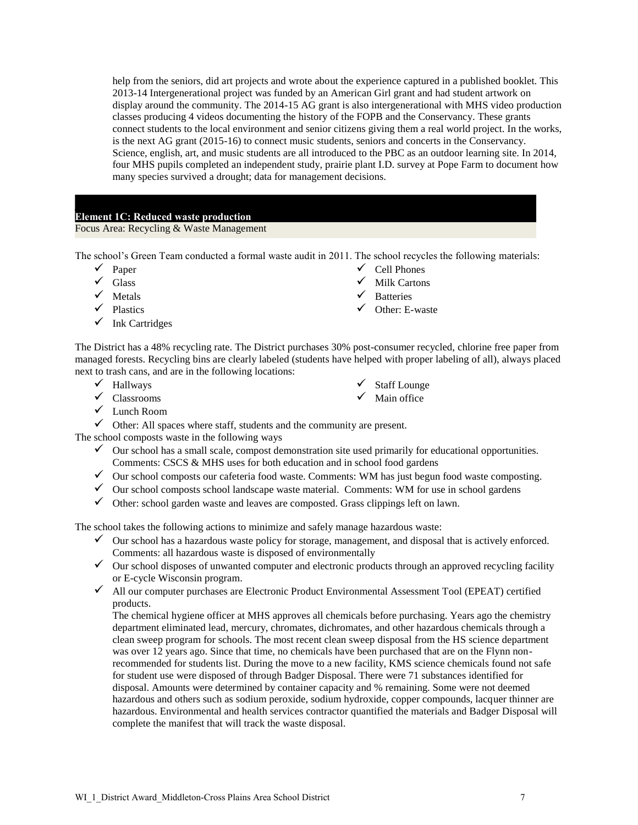help from the seniors, did art projects and wrote about the experience captured in a published booklet. This 2013-14 Intergenerational project was funded by an American Girl grant and had student artwork on display around the community. The 2014-15 AG grant is also intergenerational with MHS video production classes producing 4 videos documenting the history of the FOPB and the Conservancy. These grants connect students to the local environment and senior citizens giving them a real world project. In the works, is the next AG grant (2015-16) to connect music students, seniors and concerts in the Conservancy. Science, english, art, and music students are all introduced to the PBC as an outdoor learning site. In 2014, four MHS pupils completed an independent study, prairie plant I.D. survey at Pope Farm to document how many species survived a drought; data for management decisions.

## **Element 1C: Reduced waste production**

Focus Area: Recycling & Waste Management

The school"s Green Team conducted a formal waste audit in 2011. The school recycles the following materials:

- $\checkmark$  Paper
- $\checkmark$  Glass
- $\checkmark$  Metals
- $\checkmark$  Plastics
- $\checkmark$  Ink Cartridges
- $\checkmark$  Cell Phones
- $\checkmark$  Milk Cartons
- $\checkmark$  Batteries
- $\checkmark$  Other: E-waste

The District has a 48% recycling rate. The District purchases 30% post-consumer recycled, chlorine free paper from managed forests. Recycling bins are clearly labeled (students have helped with proper labeling of all), always placed next to trash cans, and are in the following locations:

- $\checkmark$  Hallways
- $\checkmark$  Classrooms

 $\checkmark$  Staff Lounge

 $\checkmark$  Main office

- Lunch Room
- $\checkmark$  Other: All spaces where staff, students and the community are present.

The school composts waste in the following ways

- $\checkmark$  Our school has a small scale, compost demonstration site used primarily for educational opportunities. Comments: CSCS & MHS uses for both education and in school food gardens
- $\checkmark$  Our school composts our cafeteria food waste. Comments: WM has just begun food waste composting.
- $\checkmark$  Our school composts school landscape waste material. Comments: WM for use in school gardens
- $\checkmark$  Other: school garden waste and leaves are composted. Grass clippings left on lawn.

The school takes the following actions to minimize and safely manage hazardous waste:

- $\checkmark$  Our school has a hazardous waste policy for storage, management, and disposal that is actively enforced. Comments: all hazardous waste is disposed of environmentally
- $\checkmark$  Our school disposes of unwanted computer and electronic products through an approved recycling facility or E-cycle Wisconsin program.
- $\checkmark$  All our computer purchases are Electronic Product Environmental Assessment Tool (EPEAT) certified products.

The chemical hygiene officer at MHS approves all chemicals before purchasing. Years ago the chemistry department eliminated lead, mercury, chromates, dichromates, and other hazardous chemicals through a clean sweep program for schools. The most recent clean sweep disposal from the HS science department was over 12 years ago. Since that time, no chemicals have been purchased that are on the Flynn nonrecommended for students list. During the move to a new facility, KMS science chemicals found not safe for student use were disposed of through Badger Disposal. There were 71 substances identified for disposal. Amounts were determined by container capacity and % remaining. Some were not deemed hazardous and others such as sodium peroxide, sodium hydroxide, copper compounds, lacquer thinner are hazardous. Environmental and health services contractor quantified the materials and Badger Disposal will complete the manifest that will track the waste disposal.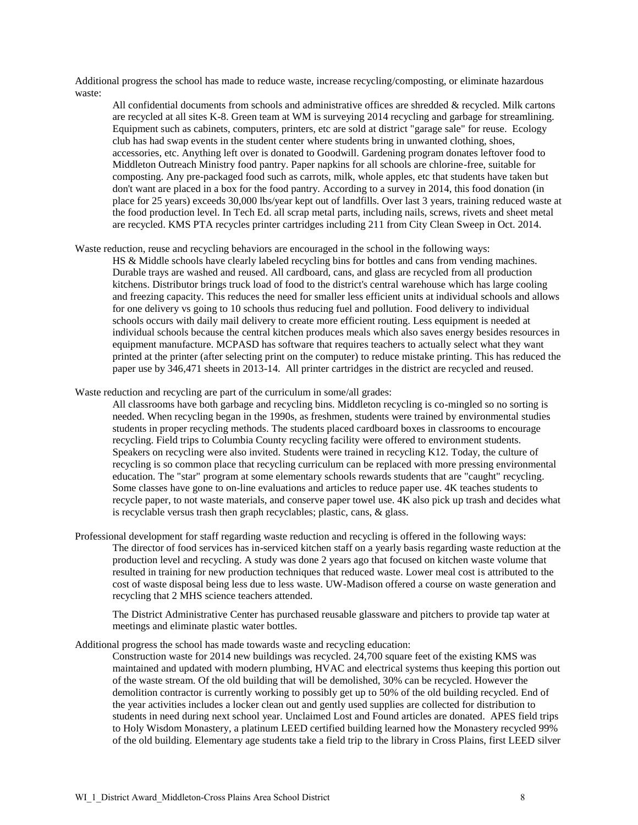Additional progress the school has made to reduce waste, increase recycling/composting, or eliminate hazardous waste:

All confidential documents from schools and administrative offices are shredded & recycled. Milk cartons are recycled at all sites K-8. Green team at WM is surveying 2014 recycling and garbage for streamlining. Equipment such as cabinets, computers, printers, etc are sold at district "garage sale" for reuse. Ecology club has had swap events in the student center where students bring in unwanted clothing, shoes, accessories, etc. Anything left over is donated to Goodwill. Gardening program donates leftover food to Middleton Outreach Ministry food pantry. Paper napkins for all schools are chlorine-free, suitable for composting. Any pre-packaged food such as carrots, milk, whole apples, etc that students have taken but don't want are placed in a box for the food pantry. According to a survey in 2014, this food donation (in place for 25 years) exceeds 30,000 lbs/year kept out of landfills. Over last 3 years, training reduced waste at the food production level. In Tech Ed. all scrap metal parts, including nails, screws, rivets and sheet metal are recycled. KMS PTA recycles printer cartridges including 211 from City Clean Sweep in Oct. 2014.

Waste reduction, reuse and recycling behaviors are encouraged in the school in the following ways:

HS & Middle schools have clearly labeled recycling bins for bottles and cans from vending machines. Durable trays are washed and reused. All cardboard, cans, and glass are recycled from all production kitchens. Distributor brings truck load of food to the district's central warehouse which has large cooling and freezing capacity. This reduces the need for smaller less efficient units at individual schools and allows for one delivery vs going to 10 schools thus reducing fuel and pollution. Food delivery to individual schools occurs with daily mail delivery to create more efficient routing. Less equipment is needed at individual schools because the central kitchen produces meals which also saves energy besides resources in equipment manufacture. MCPASD has software that requires teachers to actually select what they want printed at the printer (after selecting print on the computer) to reduce mistake printing. This has reduced the paper use by 346,471 sheets in 2013-14. All printer cartridges in the district are recycled and reused.

Waste reduction and recycling are part of the curriculum in some/all grades:

All classrooms have both garbage and recycling bins. Middleton recycling is co-mingled so no sorting is needed. When recycling began in the 1990s, as freshmen, students were trained by environmental studies students in proper recycling methods. The students placed cardboard boxes in classrooms to encourage recycling. Field trips to Columbia County recycling facility were offered to environment students. Speakers on recycling were also invited. Students were trained in recycling K12. Today, the culture of recycling is so common place that recycling curriculum can be replaced with more pressing environmental education. The "star" program at some elementary schools rewards students that are "caught" recycling. Some classes have gone to on-line evaluations and articles to reduce paper use. 4K teaches students to recycle paper, to not waste materials, and conserve paper towel use. 4K also pick up trash and decides what is recyclable versus trash then graph recyclables; plastic, cans, & glass.

Professional development for staff regarding waste reduction and recycling is offered in the following ways: The director of food services has in-serviced kitchen staff on a yearly basis regarding waste reduction at the production level and recycling. A study was done 2 years ago that focused on kitchen waste volume that resulted in training for new production techniques that reduced waste. Lower meal cost is attributed to the cost of waste disposal being less due to less waste. UW-Madison offered a course on waste generation and recycling that 2 MHS science teachers attended.

The District Administrative Center has purchased reusable glassware and pitchers to provide tap water at meetings and eliminate plastic water bottles.

Additional progress the school has made towards waste and recycling education:

Construction waste for 2014 new buildings was recycled. 24,700 square feet of the existing KMS was maintained and updated with modern plumbing, HVAC and electrical systems thus keeping this portion out of the waste stream. Of the old building that will be demolished, 30% can be recycled. However the demolition contractor is currently working to possibly get up to 50% of the old building recycled. End of the year activities includes a locker clean out and gently used supplies are collected for distribution to students in need during next school year. Unclaimed Lost and Found articles are donated. APES field trips to Holy Wisdom Monastery, a platinum LEED certified building learned how the Monastery recycled 99% of the old building. Elementary age students take a field trip to the library in Cross Plains, first LEED silver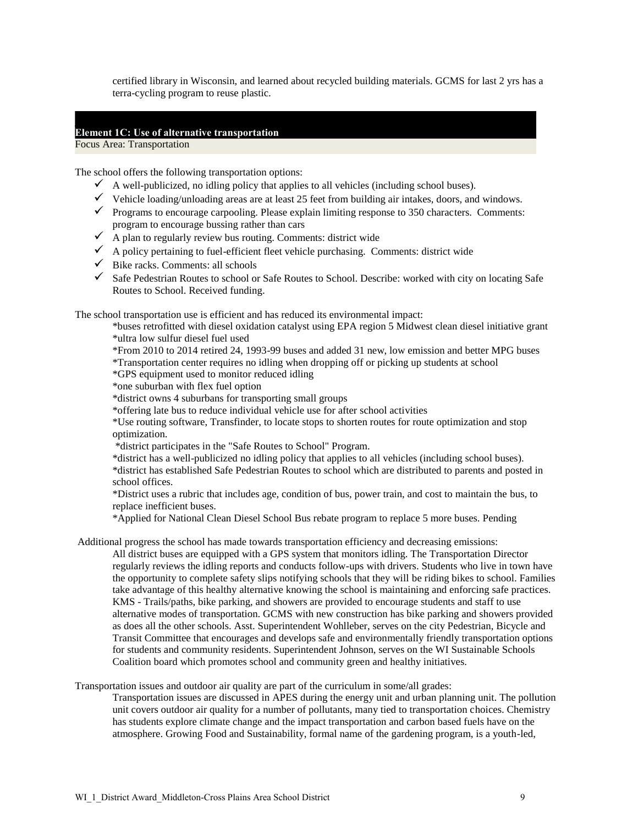certified library in Wisconsin, and learned about recycled building materials. GCMS for last 2 yrs has a terra-cycling program to reuse plastic.

## **Element 1C: Use of alternative transportation**

Focus Area: Transportation

The school offers the following transportation options:

- $\checkmark$  A well-publicized, no idling policy that applies to all vehicles (including school buses).
- $\checkmark$  Vehicle loading/unloading areas are at least 25 feet from building air intakes, doors, and windows.
- $\checkmark$  Programs to encourage carpooling. Please explain limiting response to 350 characters. Comments: program to encourage bussing rather than cars
- $\overline{\phantom{a}}$  A plan to regularly review bus routing. Comments: district wide
- $\checkmark$  A policy pertaining to fuel-efficient fleet vehicle purchasing. Comments: district wide
- $\checkmark$  Bike racks. Comments: all schools
- $\checkmark$  Safe Pedestrian Routes to school or Safe Routes to School. Describe: worked with city on locating Safe Routes to School. Received funding.

The school transportation use is efficient and has reduced its environmental impact:

\*buses retrofitted with diesel oxidation catalyst using EPA region 5 Midwest clean diesel initiative grant \*ultra low sulfur diesel fuel used

\*From 2010 to 2014 retired 24, 1993-99 buses and added 31 new, low emission and better MPG buses

\*Transportation center requires no idling when dropping off or picking up students at school

\*GPS equipment used to monitor reduced idling

\*one suburban with flex fuel option

\*district owns 4 suburbans for transporting small groups

\*offering late bus to reduce individual vehicle use for after school activities

\*Use routing software, Transfinder, to locate stops to shorten routes for route optimization and stop optimization.

\*district participates in the "Safe Routes to School" Program.

\*district has a well-publicized no idling policy that applies to all vehicles (including school buses).

\*district has established Safe Pedestrian Routes to school which are distributed to parents and posted in school offices.

\*District uses a rubric that includes age, condition of bus, power train, and cost to maintain the bus, to replace inefficient buses.

\*Applied for National Clean Diesel School Bus rebate program to replace 5 more buses. Pending

Additional progress the school has made towards transportation efficiency and decreasing emissions:

All district buses are equipped with a GPS system that monitors idling. The Transportation Director regularly reviews the idling reports and conducts follow-ups with drivers. Students who live in town have the opportunity to complete safety slips notifying schools that they will be riding bikes to school. Families take advantage of this healthy alternative knowing the school is maintaining and enforcing safe practices. KMS - Trails/paths, bike parking, and showers are provided to encourage students and staff to use alternative modes of transportation. GCMS with new construction has bike parking and showers provided as does all the other schools. Asst. Superintendent Wohlleber, serves on the city Pedestrian, Bicycle and Transit Committee that encourages and develops safe and environmentally friendly transportation options for students and community residents. Superintendent Johnson, serves on the WI Sustainable Schools Coalition board which promotes school and community green and healthy initiatives.

Transportation issues and outdoor air quality are part of the curriculum in some/all grades:

Transportation issues are discussed in APES during the energy unit and urban planning unit. The pollution unit covers outdoor air quality for a number of pollutants, many tied to transportation choices. Chemistry has students explore climate change and the impact transportation and carbon based fuels have on the atmosphere. Growing Food and Sustainability, formal name of the gardening program, is a youth-led,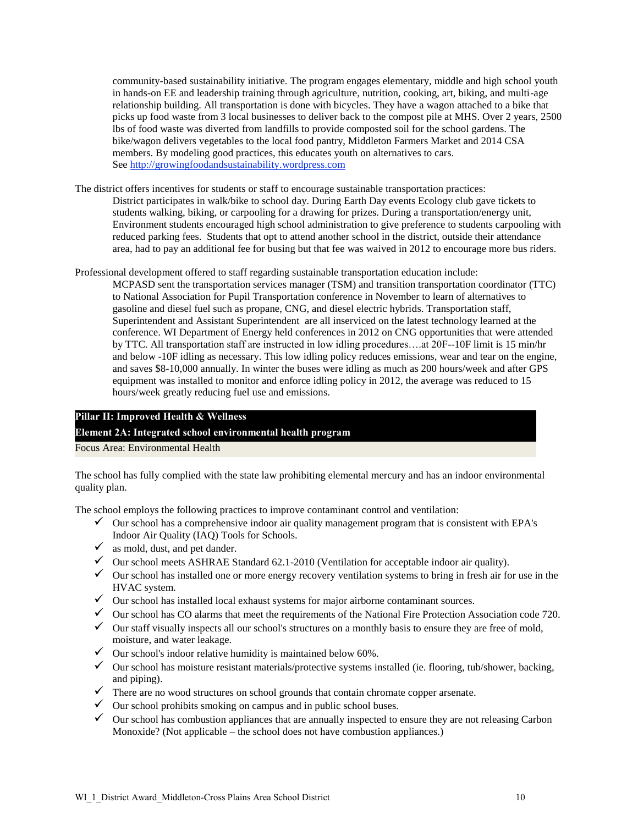community-based sustainability initiative. The program engages elementary, middle and high school youth in hands-on EE and leadership training through agriculture, nutrition, cooking, art, biking, and multi-age relationship building. All transportation is done with bicycles. They have a wagon attached to a bike that picks up food waste from 3 local businesses to deliver back to the compost pile at MHS. Over 2 years, 2500 lbs of food waste was diverted from landfills to provide composted soil for the school gardens. The bike/wagon delivers vegetables to the local food pantry, Middleton Farmers Market and 2014 CSA members. By modeling good practices, this educates youth on alternatives to cars. See [http://growingfoodandsustainability.wordpress.com](http://growingfoodandsustainability.wordpress.com/)

The district offers incentives for students or staff to encourage sustainable transportation practices: District participates in walk/bike to school day. During Earth Day events Ecology club gave tickets to students walking, biking, or carpooling for a drawing for prizes. During a transportation/energy unit, Environment students encouraged high school administration to give preference to students carpooling with reduced parking fees. Students that opt to attend another school in the district, outside their attendance area, had to pay an additional fee for busing but that fee was waived in 2012 to encourage more bus riders.

Professional development offered to staff regarding sustainable transportation education include:

MCPASD sent the transportation services manager (TSM) and transition transportation coordinator (TTC) to National Association for Pupil Transportation conference in November to learn of alternatives to gasoline and diesel fuel such as propane, CNG, and diesel electric hybrids. Transportation staff, Superintendent and Assistant Superintendent are all inserviced on the latest technology learned at the conference. WI Department of Energy held conferences in 2012 on CNG opportunities that were attended by TTC. All transportation staff are instructed in low idling procedures….at 20F--10F limit is 15 min/hr and below -10F idling as necessary. This low idling policy reduces emissions, wear and tear on the engine, and saves \$8-10,000 annually. In winter the buses were idling as much as 200 hours/week and after GPS equipment was installed to monitor and enforce idling policy in 2012, the average was reduced to 15 hours/week greatly reducing fuel use and emissions.

## **Pillar II: Improved Health & Wellness**

## **Element 2A: Integrated school environmental health program**

Focus Area: Environmental Health

The school has fully complied with the state law prohibiting elemental mercury and has an indoor environmental quality plan.

The school employs the following practices to improve contaminant control and ventilation:

- $\checkmark$  Our school has a comprehensive indoor air quality management program that is consistent with EPA's Indoor Air Quality (IAQ) Tools for Schools.
- $\checkmark$  as mold, dust, and pet dander.
- $\checkmark$  Our school meets ASHRAE Standard 62.1-2010 (Ventilation for acceptable indoor air quality).
- $\checkmark$  Our school has installed one or more energy recovery ventilation systems to bring in fresh air for use in the HVAC system.
- $\checkmark$  Our school has installed local exhaust systems for major airborne contaminant sources.
- $\checkmark$  Our school has CO alarms that meet the requirements of the National Fire Protection Association code 720.
- $\checkmark$  Our staff visually inspects all our school's structures on a monthly basis to ensure they are free of mold, moisture, and water leakage.
- $\checkmark$  Our school's indoor relative humidity is maintained below 60%.
- $\checkmark$  Our school has moisture resistant materials/protective systems installed (ie. flooring, tub/shower, backing, and piping).
- $\checkmark$  There are no wood structures on school grounds that contain chromate copper arsenate.
- $\checkmark$  Our school prohibits smoking on campus and in public school buses.
- $\checkmark$  Our school has combustion appliances that are annually inspected to ensure they are not releasing Carbon Monoxide? (Not applicable – the school does not have combustion appliances.)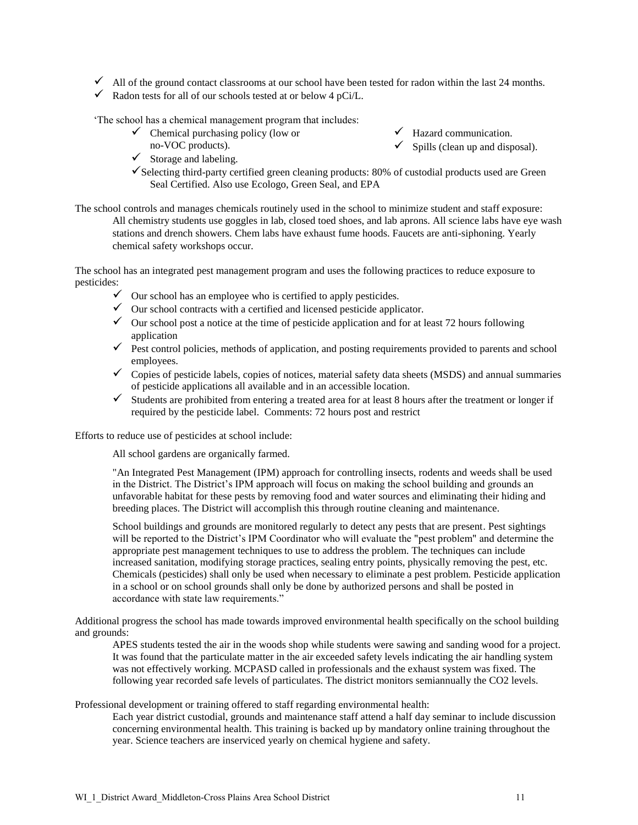- $\checkmark$  All of the ground contact classrooms at our school have been tested for radon within the last 24 months.
- $\checkmark$  Radon tests for all of our schools tested at or below 4 pCi/L.

"The school has a chemical management program that includes:

 $\checkmark$  Chemical purchasing policy (low or no-VOC products).

 $\checkmark$  Storage and labeling.

- $\checkmark$  Hazard communication.
	- $\checkmark$  Spills (clean up and disposal).
- $\checkmark$  Selecting third-party certified green cleaning products: 80% of custodial products used are Green Seal Certified. Also use Ecologo, Green Seal, and EPA

The school controls and manages chemicals routinely used in the school to minimize student and staff exposure: All chemistry students use goggles in lab, closed toed shoes, and lab aprons. All science labs have eye wash stations and drench showers. Chem labs have exhaust fume hoods. Faucets are anti-siphoning. Yearly chemical safety workshops occur.

The school has an integrated pest management program and uses the following practices to reduce exposure to pesticides:

- $\checkmark$  Our school has an employee who is certified to apply pesticides.
- $\checkmark$  Our school contracts with a certified and licensed pesticide applicator.
- $\checkmark$  Our school post a notice at the time of pesticide application and for at least 72 hours following application
- application<br>  $\checkmark$  Pest control policies, methods of application, and posting requirements provided to parents and school employees.
- $\checkmark$  Copies of pesticide labels, copies of notices, material safety data sheets (MSDS) and annual summaries of pesticide applications all available and in an accessible location.
- $\checkmark$  Students are prohibited from entering a treated area for at least 8 hours after the treatment or longer if required by the pesticide label. Comments: 72 hours post and restrict

Efforts to reduce use of pesticides at school include:

All school gardens are organically farmed.

"An Integrated Pest Management (IPM) approach for controlling insects, rodents and weeds shall be used in the District. The District's IPM approach will focus on making the school building and grounds an unfavorable habitat for these pests by removing food and water sources and eliminating their hiding and breeding places. The District will accomplish this through routine cleaning and maintenance.

School buildings and grounds are monitored regularly to detect any pests that are present. Pest sightings will be reported to the District"s IPM Coordinator who will evaluate the "pest problem" and determine the appropriate pest management techniques to use to address the problem. The techniques can include increased sanitation, modifying storage practices, sealing entry points, physically removing the pest, etc. Chemicals (pesticides) shall only be used when necessary to eliminate a pest problem. Pesticide application in a school or on school grounds shall only be done by authorized persons and shall be posted in accordance with state law requirements."

Additional progress the school has made towards improved environmental health specifically on the school building and grounds:

APES students tested the air in the woods shop while students were sawing and sanding wood for a project. It was found that the particulate matter in the air exceeded safety levels indicating the air handling system was not effectively working. MCPASD called in professionals and the exhaust system was fixed. The following year recorded safe levels of particulates. The district monitors semiannually the CO2 levels.

Professional development or training offered to staff regarding environmental health:

Each year district custodial, grounds and maintenance staff attend a half day seminar to include discussion concerning environmental health. This training is backed up by mandatory online training throughout the year. Science teachers are inserviced yearly on chemical hygiene and safety.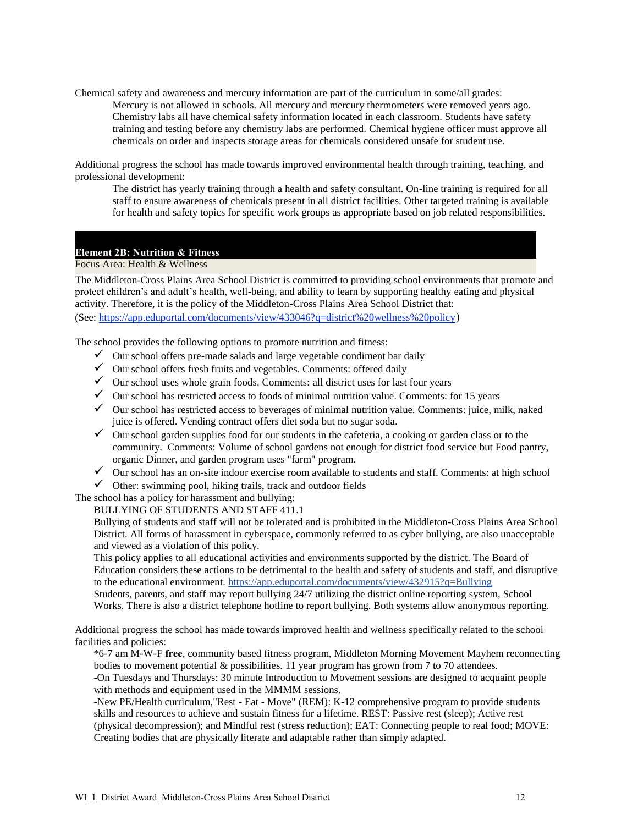Chemical safety and awareness and mercury information are part of the curriculum in some/all grades: Mercury is not allowed in schools. All mercury and mercury thermometers were removed years ago. Chemistry labs all have chemical safety information located in each classroom. Students have safety training and testing before any chemistry labs are performed. Chemical hygiene officer must approve all chemicals on order and inspects storage areas for chemicals considered unsafe for student use.

Additional progress the school has made towards improved environmental health through training, teaching, and professional development:

The district has yearly training through a health and safety consultant. On-line training is required for all staff to ensure awareness of chemicals present in all district facilities. Other targeted training is available for health and safety topics for specific work groups as appropriate based on job related responsibilities.

### **Element 2B: Nutrition & Fitness**

Focus Area: Health & Wellness

The Middleton-Cross Plains Area School District is committed to providing school environments that promote and protect children"s and adult"s health, well-being, and ability to learn by supporting healthy eating and physical activity. Therefore, it is the policy of the Middleton-Cross Plains Area School District that: (See:<https://app.eduportal.com/documents/view/433046?q=district%20wellness%20policy>)

The school provides the following options to promote nutrition and fitness:

- $\checkmark$  Our school offers pre-made salads and large vegetable condiment bar daily
- $\checkmark$  Our school offers fresh fruits and vegetables. Comments: offered daily
- $\checkmark$  Our school uses whole grain foods. Comments: all district uses for last four years
- $\checkmark$  Our school has restricted access to foods of minimal nutrition value. Comments: for 15 years
- $\checkmark$  Our school has restricted access to beverages of minimal nutrition value. Comments: juice, milk, naked juice is offered. Vending contract offers diet soda but no sugar soda.
- $\checkmark$  Our school garden supplies food for our students in the cafeteria, a cooking or garden class or to the community. Comments: Volume of school gardens not enough for district food service but Food pantry, organic Dinner, and garden program uses "farm" program.
- $\checkmark$  Our school has an on-site indoor exercise room available to students and staff. Comments: at high school
- $\checkmark$  Other: swimming pool, hiking trails, track and outdoor fields

The school has a policy for harassment and bullying:

## BULLYING OF STUDENTS AND STAFF 411.1

Bullying of students and staff will not be tolerated and is prohibited in the Middleton-Cross Plains Area School District. All forms of harassment in cyberspace, commonly referred to as cyber bullying, are also unacceptable and viewed as a violation of this policy.

This policy applies to all educational activities and environments supported by the district. The Board of Education considers these actions to be detrimental to the health and safety of students and staff, and disruptive to the educational environment.<https://app.eduportal.com/documents/view/432915?q=Bullying> Students, parents, and staff may report bullying 24/7 utilizing the district online reporting system, School Works. There is also a district telephone hotline to report bullying. Both systems allow anonymous reporting.

Additional progress the school has made towards improved health and wellness specifically related to the school facilities and policies:

\*6-7 am M-W-F **free**, community based fitness program, Middleton Morning Movement Mayhem reconnecting bodies to movement potential & possibilities. 11 year program has grown from 7 to 70 attendees.

-On Tuesdays and Thursdays: 30 minute Introduction to Movement sessions are designed to acquaint people with methods and equipment used in the MMMM sessions.

-New PE/Health curriculum,"Rest - Eat - Move" (REM): K-12 comprehensive program to provide students skills and resources to achieve and sustain fitness for a lifetime. REST: Passive rest (sleep); Active rest (physical decompression); and Mindful rest (stress reduction); EAT: Connecting people to real food; MOVE: Creating bodies that are physically literate and adaptable rather than simply adapted.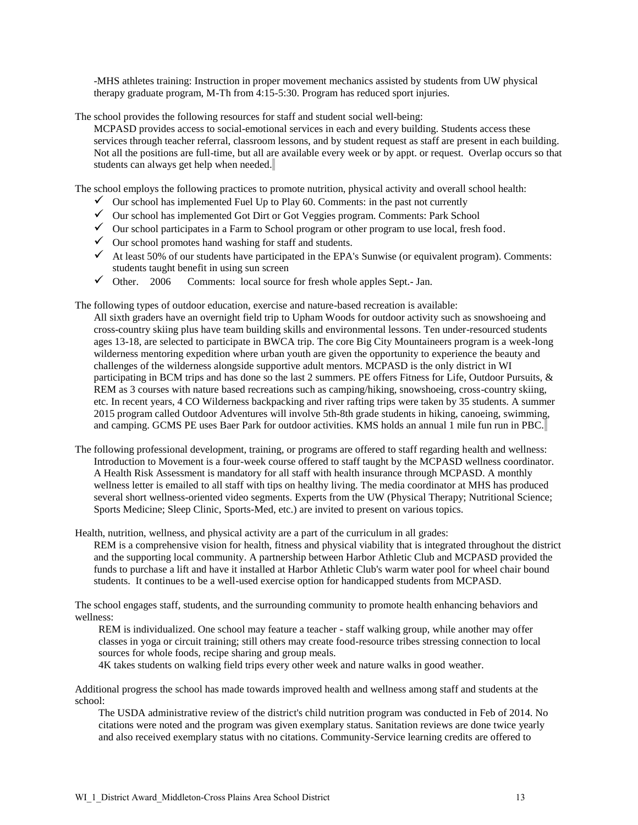-MHS athletes training: Instruction in proper movement mechanics assisted by students from UW physical therapy graduate program, M-Th from 4:15-5:30. Program has reduced sport injuries.

The school provides the following resources for staff and student social well-being:

MCPASD provides access to social-emotional services in each and every building. Students access these services through teacher referral, classroom lessons, and by student request as staff are present in each building. Not all the positions are full-time, but all are available every week or by appt. or request. Overlap occurs so that students can always get help when needed.

The school employs the following practices to promote nutrition, physical activity and overall school health:

- $\checkmark$  Our school has implemented Fuel Up to Play 60. Comments: in the past not currently
- Our school has implemented Got Dirt or Got Veggies program. Comments: Park School
- $\checkmark$  Our school participates in a Farm to School program or other program to use local, fresh food.
- $\checkmark$  Our school promotes hand washing for staff and students.
- $\checkmark$  At least 50% of our students have participated in the EPA's Sunwise (or equivalent program). Comments: students taught benefit in using sun screen
- $\checkmark$  Other. 2006 Comments: local source for fresh whole apples Sept.- Jan.

The following types of outdoor education, exercise and nature-based recreation is available:

All sixth graders have an overnight field trip to Upham Woods for outdoor activity such as snowshoeing and cross-country skiing plus have team building skills and environmental lessons. Ten under-resourced students ages 13-18, are selected to participate in BWCA trip. The core Big City Mountaineers program is a week-long wilderness mentoring expedition where urban youth are given the opportunity to experience the beauty and challenges of the wilderness alongside supportive adult mentors. MCPASD is the only district in WI participating in BCM trips and has done so the last 2 summers. PE offers Fitness for Life, Outdoor Pursuits, & REM as 3 courses with nature based recreations such as camping/hiking, snowshoeing, cross-country skiing, etc. In recent years, 4 CO Wilderness backpacking and river rafting trips were taken by 35 students. A summer 2015 program called Outdoor Adventures will involve 5th-8th grade students in hiking, canoeing, swimming, and camping. GCMS PE uses Baer Park for outdoor activities. KMS holds an annual 1 mile fun run in PBC.

The following professional development, training, or programs are offered to staff regarding health and wellness: Introduction to Movement is a four-week course offered to staff taught by the MCPASD wellness coordinator. A Health Risk Assessment is mandatory for all staff with health insurance through MCPASD. A monthly wellness letter is emailed to all staff with tips on healthy living. The media coordinator at MHS has produced several short wellness-oriented video segments. Experts from the UW (Physical Therapy; Nutritional Science; Sports Medicine; Sleep Clinic, Sports-Med, etc.) are invited to present on various topics.

Health, nutrition, wellness, and physical activity are a part of the curriculum in all grades:

REM is a comprehensive vision for health, fitness and physical viability that is integrated throughout the district and the supporting local community. A partnership between Harbor Athletic Club and MCPASD provided the funds to purchase a lift and have it installed at Harbor Athletic Club's warm water pool for wheel chair bound students. It continues to be a well-used exercise option for handicapped students from MCPASD.

The school engages staff, students, and the surrounding community to promote health enhancing behaviors and wellness:

REM is individualized. One school may feature a teacher - staff walking group, while another may offer classes in yoga or circuit training; still others may create food-resource tribes stressing connection to local sources for whole foods, recipe sharing and group meals.

4K takes students on walking field trips every other week and nature walks in good weather.

Additional progress the school has made towards improved health and wellness among staff and students at the school:

The USDA administrative review of the district's child nutrition program was conducted in Feb of 2014. No citations were noted and the program was given exemplary status. Sanitation reviews are done twice yearly and also received exemplary status with no citations. Community-Service learning credits are offered to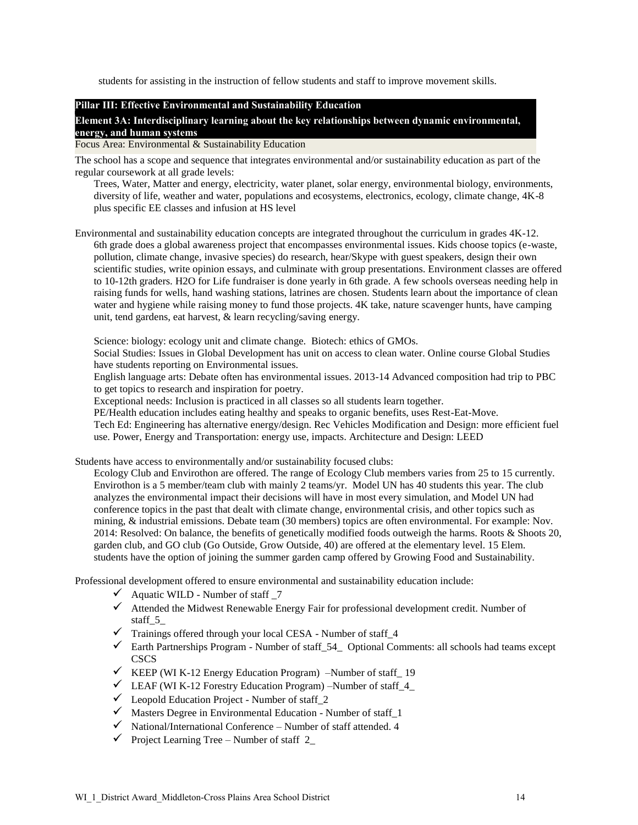students for assisting in the instruction of fellow students and staff to improve movement skills.

## **Pillar III: Effective Environmental and Sustainability Education**

**Element 3A: Interdisciplinary learning about the key relationships between dynamic environmental, energy, and human systems**

### Focus Area: Environmental & Sustainability Education

The school has a scope and sequence that integrates environmental and/or sustainability education as part of the regular coursework at all grade levels:

Trees, Water, Matter and energy, electricity, water planet, solar energy, environmental biology, environments, diversity of life, weather and water, populations and ecosystems, electronics, ecology, climate change, 4K-8 plus specific EE classes and infusion at HS level

Environmental and sustainability education concepts are integrated throughout the curriculum in grades 4K-12. 6th grade does a global awareness project that encompasses environmental issues. Kids choose topics (e-waste, pollution, climate change, invasive species) do research, hear/Skype with guest speakers, design their own scientific studies, write opinion essays, and culminate with group presentations. Environment classes are offered to 10-12th graders. H2O for Life fundraiser is done yearly in 6th grade. A few schools overseas needing help in raising funds for wells, hand washing stations, latrines are chosen. Students learn about the importance of clean water and hygiene while raising money to fund those projects. 4K take, nature scavenger hunts, have camping unit, tend gardens, eat harvest, & learn recycling/saving energy.

Science: biology: ecology unit and climate change. Biotech: ethics of GMOs.

Social Studies: Issues in Global Development has unit on access to clean water. Online course Global Studies have students reporting on Environmental issues.

English language arts: Debate often has environmental issues. 2013-14 Advanced composition had trip to PBC to get topics to research and inspiration for poetry.

Exceptional needs: Inclusion is practiced in all classes so all students learn together.

PE/Health education includes eating healthy and speaks to organic benefits, uses Rest-Eat-Move. Tech Ed: Engineering has alternative energy/design. Rec Vehicles Modification and Design: more efficient fuel use. Power, Energy and Transportation: energy use, impacts. Architecture and Design: LEED

Students have access to environmentally and/or sustainability focused clubs:

Ecology Club and Envirothon are offered. The range of Ecology Club members varies from 25 to 15 currently. Envirothon is a 5 member/team club with mainly 2 teams/yr. Model UN has 40 students this year. The club analyzes the environmental impact their decisions will have in most every simulation, and Model UN had conference topics in the past that dealt with climate change, environmental crisis, and other topics such as mining, & industrial emissions. Debate team (30 members) topics are often environmental. For example: Nov. 2014: Resolved: On balance, the benefits of genetically modified foods outweigh the harms. Roots & Shoots 20, garden club, and GO club (Go Outside, Grow Outside, 40) are offered at the elementary level. 15 Elem. students have the option of joining the summer garden camp offered by Growing Food and Sustainability.

Professional development offered to ensure environmental and sustainability education include:

- $\checkmark$  Aquatic WILD Number of staff  $\checkmark$
- $\checkmark$  Attended the Midwest Renewable Energy Fair for professional development credit. Number of staff\_5\_
- $\checkmark$  Trainings offered through your local CESA Number of staff\_4
- $\checkmark$  Earth Partnerships Program Number of staff\_54\_ Optional Comments: all schools had teams except **CSCS**
- KEEP (WI K-12 Energy Education Program) –Number of staff  $\overline{19}$
- $\checkmark$  LEAF (WI K-12 Forestry Education Program) –Number of staff\_4
- $\checkmark$  Leopold Education Project Number of staff\_2
- $\checkmark$  Masters Degree in Environmental Education Number of staff 1
- $\checkmark$  National/International Conference Number of staff attended. 4
- $\checkmark$  Project Learning Tree Number of staff 2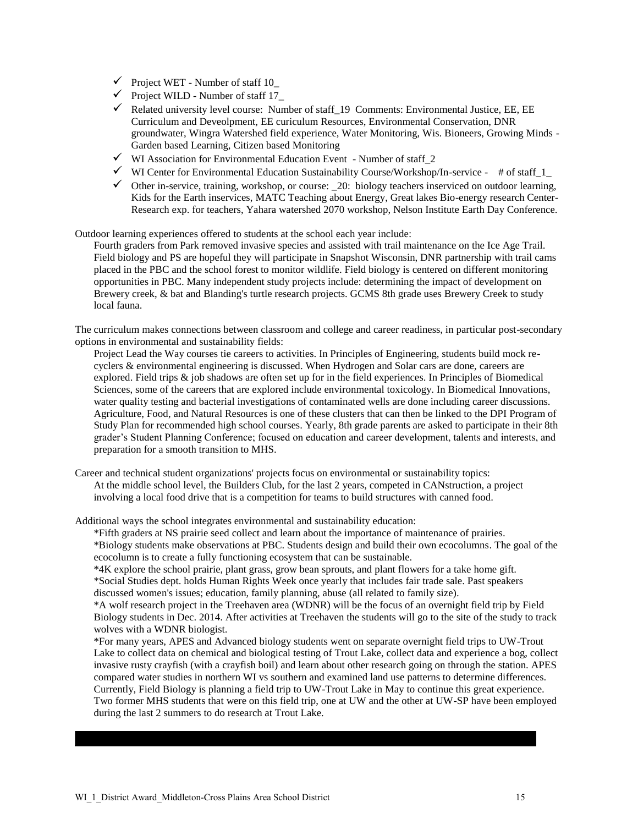- $\checkmark$  Project WET Number of staff 10
- $\checkmark$  Project WILD Number of staff 17
- $\checkmark$  Related university level course: Number of staff\_19 Comments: Environmental Justice, EE, EE Curriculum and Deveolpment, EE curiculum Resources, Environmental Conservation, DNR groundwater, Wingra Watershed field experience, Water Monitoring, Wis. Bioneers, Growing Minds - Garden based Learning, Citizen based Monitoring
- $\checkmark$  WI Association for Environmental Education Event Number of staff\_2
- $\checkmark$  WI Center for Environmental Education Sustainability Course/Workshop/In-service # of staff\_1\_
- $\checkmark$  Other in-service, training, workshop, or course: \_20: biology teachers inserviced on outdoor learning, Kids for the Earth inservices, MATC Teaching about Energy, Great lakes Bio-energy research Center-Research exp. for teachers, Yahara watershed 2070 workshop, Nelson Institute Earth Day Conference.

Outdoor learning experiences offered to students at the school each year include:

Fourth graders from Park removed invasive species and assisted with trail maintenance on the Ice Age Trail. Field biology and PS are hopeful they will participate in Snapshot Wisconsin, DNR partnership with trail cams placed in the PBC and the school forest to monitor wildlife. Field biology is centered on different monitoring opportunities in PBC. Many independent study projects include: determining the impact of development on Brewery creek, & bat and Blanding's turtle research projects. GCMS 8th grade uses Brewery Creek to study local fauna.

The curriculum makes connections between classroom and college and career readiness, in particular post-secondary options in environmental and sustainability fields:

Project Lead the Way courses tie careers to activities. In Principles of Engineering, students build mock recyclers & environmental engineering is discussed. When Hydrogen and Solar cars are done, careers are explored. Field trips & job shadows are often set up for in the field experiences. In Principles of Biomedical Sciences, some of the careers that are explored include environmental toxicology. In Biomedical Innovations, water quality testing and bacterial investigations of contaminated wells are done including career discussions. Agriculture, Food, and Natural Resources is one of these clusters that can then be linked to the DPI Program of Study Plan for recommended high school courses. Yearly, 8th grade parents are asked to participate in their 8th grader"s Student Planning Conference; focused on education and career development, talents and interests, and preparation for a smooth transition to MHS.

Career and technical student organizations' projects focus on environmental or sustainability topics: At the middle school level, the Builders Club, for the last 2 years, competed in CANstruction, a project involving a local food drive that is a competition for teams to build structures with canned food.

Additional ways the school integrates environmental and sustainability education:

\*Fifth graders at NS prairie seed collect and learn about the importance of maintenance of prairies. \*Biology students make observations at PBC. Students design and build their own ecocolumns. The goal of the ecocolumn is to create a fully functioning ecosystem that can be sustainable.

\*4K explore the school prairie, plant grass, grow bean sprouts, and plant flowers for a take home gift. \*Social Studies dept. holds Human Rights Week once yearly that includes fair trade sale. Past speakers discussed women's issues; education, family planning, abuse (all related to family size).

\*A wolf research project in the Treehaven area (WDNR) will be the focus of an overnight field trip by Field Biology students in Dec. 2014. After activities at Treehaven the students will go to the site of the study to track wolves with a WDNR biologist.

\*For many years, APES and Advanced biology students went on separate overnight field trips to UW-Trout Lake to collect data on chemical and biological testing of Trout Lake, collect data and experience a bog, collect invasive rusty crayfish (with a crayfish boil) and learn about other research going on through the station. APES compared water studies in northern WI vs southern and examined land use patterns to determine differences. Currently, Field Biology is planning a field trip to UW-Trout Lake in May to continue this great experience. Two former MHS students that were on this field trip, one at UW and the other at UW-SP have been employed during the last 2 summers to do research at Trout Lake.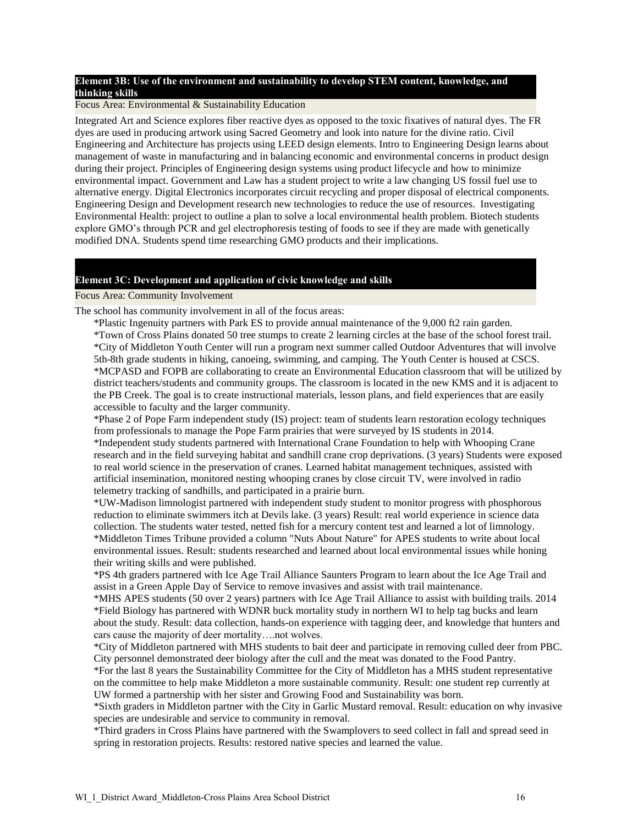## **Element 3B: Use of the environment and sustainability to develop STEM content, knowledge, and thinking skills**

### Focus Area: Environmental & Sustainability Education

Integrated Art and Science explores fiber reactive dyes as opposed to the toxic fixatives of natural dyes. The FR dyes are used in producing artwork using Sacred Geometry and look into nature for the divine ratio. Civil Engineering and Architecture has projects using LEED design elements. Intro to Engineering Design learns about management of waste in manufacturing and in balancing economic and environmental concerns in product design during their project. Principles of Engineering design systems using product lifecycle and how to minimize environmental impact. Government and Law has a student project to write a law changing US fossil fuel use to alternative energy. Digital Electronics incorporates circuit recycling and proper disposal of electrical components. Engineering Design and Development research new technologies to reduce the use of resources. Investigating Environmental Health: project to outline a plan to solve a local environmental health problem. Biotech students explore GMO"s through PCR and gel electrophoresis testing of foods to see if they are made with genetically modified DNA. Students spend time researching GMO products and their implications.

### **Element 3C: Development and application of civic knowledge and skills**

#### Focus Area: Community Involvement

The school has community involvement in all of the focus areas:

\*Plastic Ingenuity partners with Park ES to provide annual maintenance of the 9,000 ft2 rain garden.

\*Town of Cross Plains donated 50 tree stumps to create 2 learning circles at the base of the school forest trail. \*City of Middleton Youth Center will run a program next summer called Outdoor Adventures that will involve 5th-8th grade students in hiking, canoeing, swimming, and camping. The Youth Center is housed at CSCS. \*MCPASD and FOPB are collaborating to create an Environmental Education classroom that will be utilized by district teachers/students and community groups. The classroom is located in the new KMS and it is adjacent to the PB Creek. The goal is to create instructional materials, lesson plans, and field experiences that are easily accessible to faculty and the larger community.

\*Phase 2 of Pope Farm independent study (IS) project: team of students learn restoration ecology techniques from professionals to manage the Pope Farm prairies that were surveyed by IS students in 2014. \*Independent study students partnered with International Crane Foundation to help with Whooping Crane research and in the field surveying habitat and sandhill crane crop deprivations. (3 years) Students were exposed to real world science in the preservation of cranes. Learned habitat management techniques, assisted with artificial insemination, monitored nesting whooping cranes by close circuit TV, were involved in radio telemetry tracking of sandhills, and participated in a prairie burn.

\*UW-Madison limnologist partnered with independent study student to monitor progress with phosphorous reduction to eliminate swimmers itch at Devils lake. (3 years) Result: real world experience in science data collection. The students water tested, netted fish for a mercury content test and learned a lot of limnology. \*Middleton Times Tribune provided a column "Nuts About Nature" for APES students to write about local environmental issues. Result: students researched and learned about local environmental issues while honing their writing skills and were published.

\*PS 4th graders partnered with Ice Age Trail Alliance Saunters Program to learn about the Ice Age Trail and assist in a Green Apple Day of Service to remove invasives and assist with trail maintenance.

\*MHS APES students (50 over 2 years) partners with Ice Age Trail Alliance to assist with building trails. 2014 \*Field Biology has partnered with WDNR buck mortality study in northern WI to help tag bucks and learn about the study. Result: data collection, hands-on experience with tagging deer, and knowledge that hunters and cars cause the majority of deer mortality….not wolves.

\*City of Middleton partnered with MHS students to bait deer and participate in removing culled deer from PBC. City personnel demonstrated deer biology after the cull and the meat was donated to the Food Pantry.

\*For the last 8 years the Sustainability Committee for the City of Middleton has a MHS student representative on the committee to help make Middleton a more sustainable community. Result: one student rep currently at UW formed a partnership with her sister and Growing Food and Sustainability was born.

\*Sixth graders in Middleton partner with the City in Garlic Mustard removal. Result: education on why invasive species are undesirable and service to community in removal.

\*Third graders in Cross Plains have partnered with the Swamplovers to seed collect in fall and spread seed in spring in restoration projects. Results: restored native species and learned the value.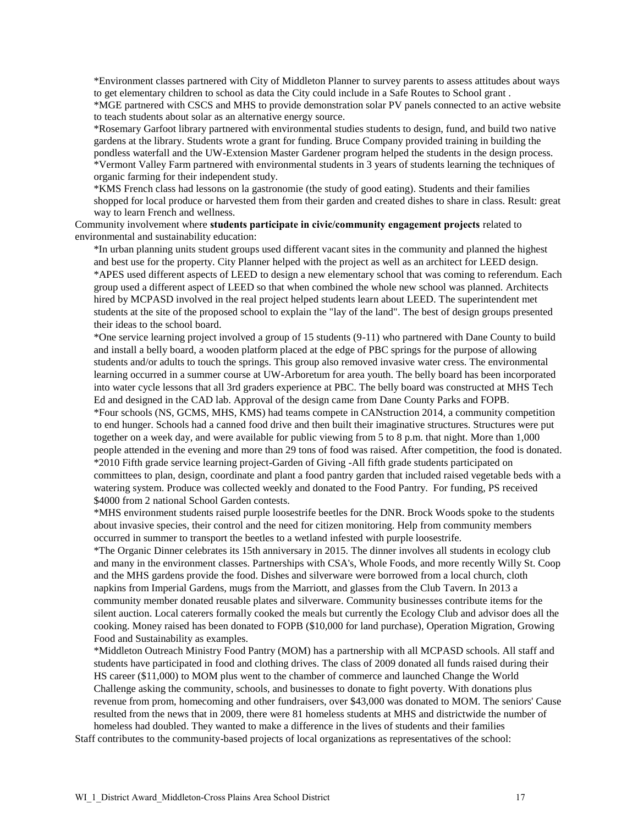\*Environment classes partnered with City of Middleton Planner to survey parents to assess attitudes about ways to get elementary children to school as data the City could include in a Safe Routes to School grant .

\*MGE partnered with CSCS and MHS to provide demonstration solar PV panels connected to an active website to teach students about solar as an alternative energy source.

\*Rosemary Garfoot library partnered with environmental studies students to design, fund, and build two native gardens at the library. Students wrote a grant for funding. Bruce Company provided training in building the pondless waterfall and the UW-Extension Master Gardener program helped the students in the design process. \*Vermont Valley Farm partnered with environmental students in 3 years of students learning the techniques of organic farming for their independent study.

\*KMS French class had lessons on la gastronomie (the study of good eating). Students and their families shopped for local produce or harvested them from their garden and created dishes to share in class. Result: great way to learn French and wellness.

Community involvement where **students participate in civic/community engagement projects** related to environmental and sustainability education:

\*In urban planning units student groups used different vacant sites in the community and planned the highest and best use for the property. City Planner helped with the project as well as an architect for LEED design. \*APES used different aspects of LEED to design a new elementary school that was coming to referendum. Each group used a different aspect of LEED so that when combined the whole new school was planned. Architects hired by MCPASD involved in the real project helped students learn about LEED. The superintendent met students at the site of the proposed school to explain the "lay of the land". The best of design groups presented their ideas to the school board.

\*One service learning project involved a group of 15 students (9-11) who partnered with Dane County to build and install a belly board, a wooden platform placed at the edge of PBC springs for the purpose of allowing students and/or adults to touch the springs. This group also removed invasive water cress. The environmental learning occurred in a summer course at UW-Arboretum for area youth. The belly board has been incorporated into water cycle lessons that all 3rd graders experience at PBC. The belly board was constructed at MHS Tech Ed and designed in the CAD lab. Approval of the design came from Dane County Parks and FOPB. \*Four schools (NS, GCMS, MHS, KMS) had teams compete in CANstruction 2014, a community competition to end hunger. Schools had a canned food drive and then built their imaginative structures. Structures were put together on a week day, and were available for public viewing from 5 to 8 p.m. that night. More than 1,000 people attended in the evening and more than 29 tons of food was raised. After competition, the food is donated. \*2010 Fifth grade service learning project-Garden of Giving -All fifth grade students participated on committees to plan, design, coordinate and plant a food pantry garden that included raised vegetable beds with a watering system. Produce was collected weekly and donated to the Food Pantry. For funding, PS received \$4000 from 2 national School Garden contests.

\*MHS environment students raised purple loosestrife beetles for the DNR. Brock Woods spoke to the students about invasive species, their control and the need for citizen monitoring. Help from community members occurred in summer to transport the beetles to a wetland infested with purple loosestrife.

\*The Organic Dinner celebrates its 15th anniversary in 2015. The dinner involves all students in ecology club and many in the environment classes. Partnerships with CSA's, Whole Foods, and more recently Willy St. Coop and the MHS gardens provide the food. Dishes and silverware were borrowed from a local church, cloth napkins from Imperial Gardens, mugs from the Marriott, and glasses from the Club Tavern. In 2013 a community member donated reusable plates and silverware. Community businesses contribute items for the silent auction. Local caterers formally cooked the meals but currently the Ecology Club and advisor does all the cooking. Money raised has been donated to FOPB (\$10,000 for land purchase), Operation Migration, Growing Food and Sustainability as examples.

\*Middleton Outreach Ministry Food Pantry (MOM) has a partnership with all MCPASD schools. All staff and students have participated in food and clothing drives. The class of 2009 donated all funds raised during their HS career (\$11,000) to MOM plus went to the chamber of commerce and launched Change the World Challenge asking the community, schools, and businesses to donate to fight poverty. With donations plus revenue from prom, homecoming and other fundraisers, over \$43,000 was donated to MOM. The seniors' Cause resulted from the news that in 2009, there were 81 homeless students at MHS and districtwide the number of homeless had doubled. They wanted to make a difference in the lives of students and their families

Staff contributes to the community-based projects of local organizations as representatives of the school: